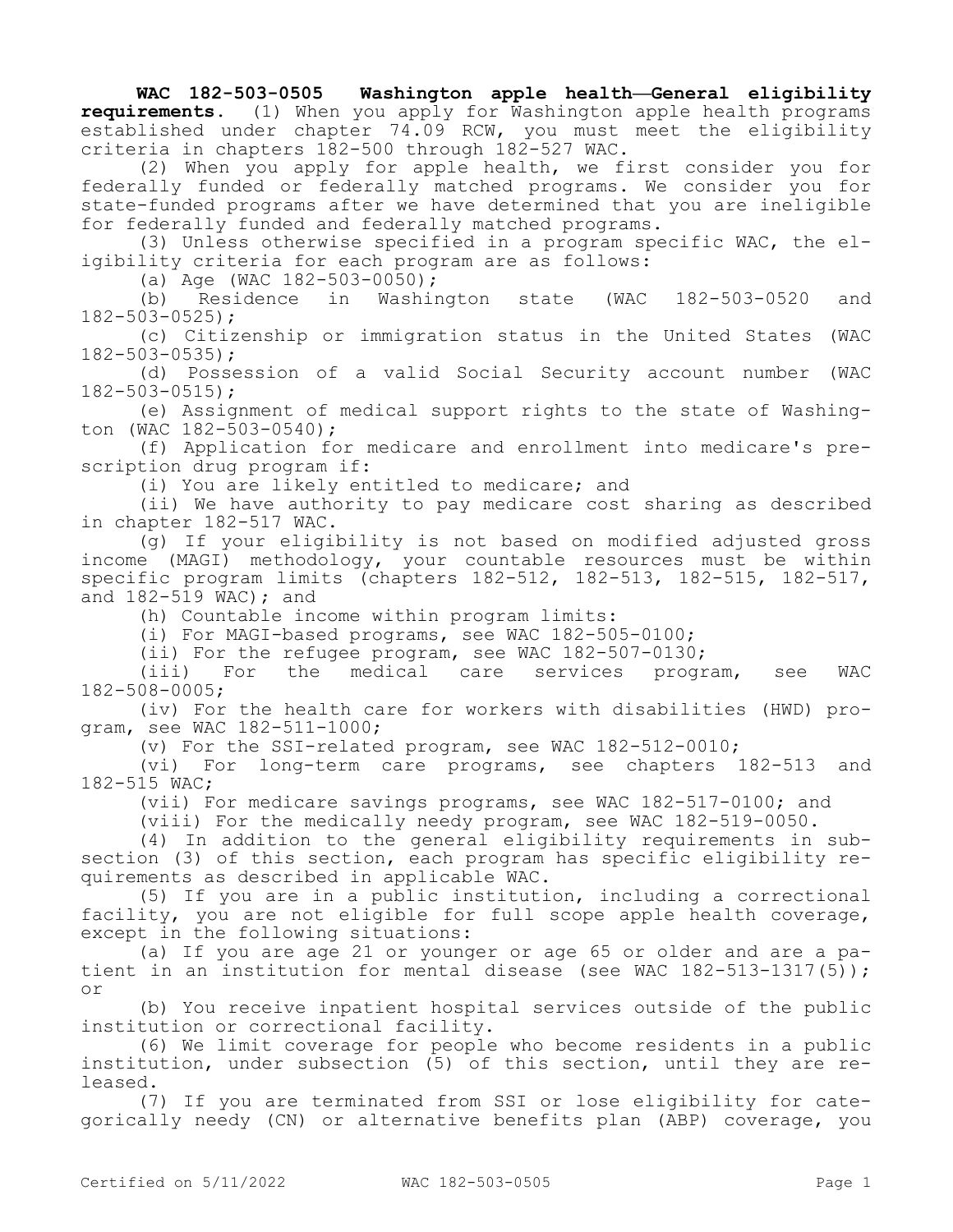**WAC 182-503-0505 Washington apple health—General eligibility requirements.** (1) When you apply for Washington apple health programs established under chapter 74.09 RCW, you must meet the eligibility criteria in chapters 182-500 through 182-527 WAC.

(2) When you apply for apple health, we first consider you for federally funded or federally matched programs. We consider you for state-funded programs after we have determined that you are ineligible for federally funded and federally matched programs.

(3) Unless otherwise specified in a program specific WAC, the eligibility criteria for each program are as follows:

(a) Age (WAC 182-503-0050);

(b) Residence in Washington state (WAC 182-503-0520 and 182-503-0525);

(c) Citizenship or immigration status in the United States (WAC 182-503-0535);

(d) Possession of a valid Social Security account number (WAC 182-503-0515);

(e) Assignment of medical support rights to the state of Washington (WAC 182-503-0540);

(f) Application for medicare and enrollment into medicare's prescription drug program if:

(i) You are likely entitled to medicare; and

(ii) We have authority to pay medicare cost sharing as described in chapter 182-517 WAC.

(g) If your eligibility is not based on modified adjusted gross income (MAGI) methodology, your countable resources must be within specific program limits (chapters 182-512, 182-513, 182-515, 182-517, and 182-519 WAC); and

(h) Countable income within program limits:

(i) For MAGI-based programs, see WAC 182-505-0100;

(ii) For the refugee program, see WAC 182-507-0130;

(iii) For the medical care services program, see WAC 182-508-0005;

(iv) For the health care for workers with disabilities (HWD) program, see WAC 182-511-1000;

(v) For the SSI-related program, see WAC 182-512-0010;

(vi) For long-term care programs, see chapters 182-513 and 182-515 WAC;

(vii) For medicare savings programs, see WAC 182-517-0100; and

(viii) For the medically needy program, see WAC 182-519-0050.

(4) In addition to the general eligibility requirements in subsection (3) of this section, each program has specific eligibility requirements as described in applicable WAC.

(5) If you are in a public institution, including a correctional facility, you are not eligible for full scope apple health coverage, except in the following situations:

(a) If you are age 21 or younger or age 65 or older and are a patient in an institution for mental disease (see WAC 182-513-1317(5)); or

(b) You receive inpatient hospital services outside of the public institution or correctional facility.

(6) We limit coverage for people who become residents in a public institution, under subsection (5) of this section, until they are released.

(7) If you are terminated from SSI or lose eligibility for categorically needy (CN) or alternative benefits plan (ABP) coverage, you